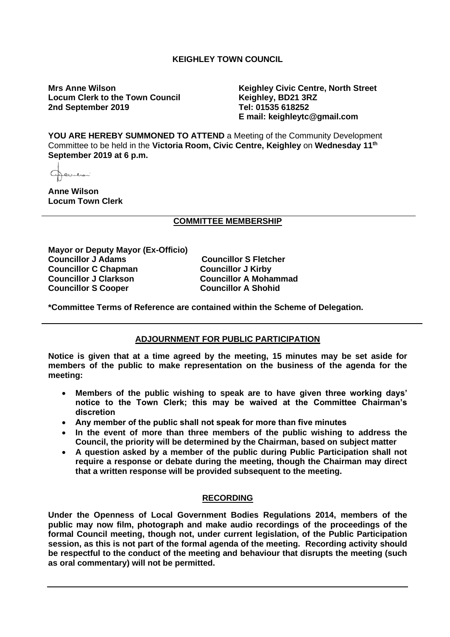# **KEIGHLEY TOWN COUNCIL**

**Locum Clerk to the Town Council 2nd September 2019 Tel: 01535 618252**

**Mrs Anne Wilson Keighley Civic Centre, North Street E mail: keighleytc@gmail.com**

**YOU ARE HEREBY SUMMONED TO ATTEND** a Meeting of the Community Development Committee to be held in the **Victoria Room, Civic Centre, Keighley** on **Wednesday 11th September 2019 at 6 p.m.**

تتصليحا

**Anne Wilson Locum Town Clerk**

# **COMMITTEE MEMBERSHIP**

**Mayor or Deputy Mayor (Ex-Officio) Councillor J Adams Councillor S Fletcher Councillor C Chapman**<br>Councillor J Clarkson **Councillor S Cooper** 

**Councillor A Mohammad<br>Councillor A Shohid** 

**\*Committee Terms of Reference are contained within the Scheme of Delegation.**

# **ADJOURNMENT FOR PUBLIC PARTICIPATION**

**Notice is given that at a time agreed by the meeting, 15 minutes may be set aside for members of the public to make representation on the business of the agenda for the meeting:**

- **Members of the public wishing to speak are to have given three working days' notice to the Town Clerk; this may be waived at the Committee Chairman's discretion**
- **Any member of the public shall not speak for more than five minutes**
- **In the event of more than three members of the public wishing to address the Council, the priority will be determined by the Chairman, based on subject matter**
- **A question asked by a member of the public during Public Participation shall not require a response or debate during the meeting, though the Chairman may direct that a written response will be provided subsequent to the meeting.**

# **RECORDING**

**Under the Openness of Local Government Bodies Regulations 2014, members of the public may now film, photograph and make audio recordings of the proceedings of the formal Council meeting, though not, under current legislation, of the Public Participation session, as this is not part of the formal agenda of the meeting. Recording activity should be respectful to the conduct of the meeting and behaviour that disrupts the meeting (such as oral commentary) will not be permitted.**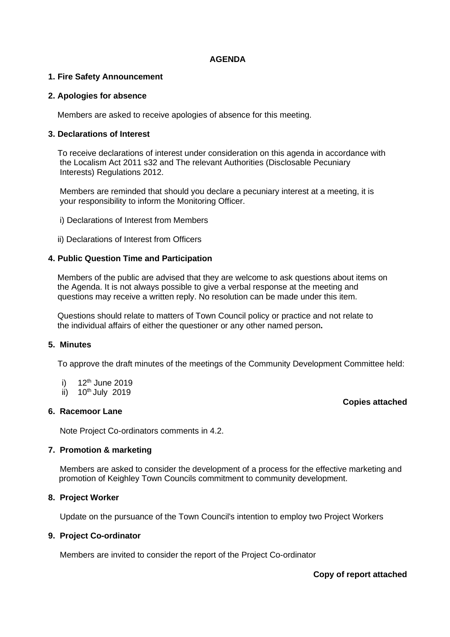#### **AGENDA**

# **1. Fire Safety Announcement**

#### **2. Apologies for absence**

Members are asked to receive apologies of absence for this meeting.

#### **3. Declarations of Interest**

 To receive declarations of interest under consideration on this agenda in accordance with the Localism Act 2011 s32 and The relevant Authorities (Disclosable Pecuniary Interests) Regulations 2012.

 Members are reminded that should you declare a pecuniary interest at a meeting, it is your responsibility to inform the Monitoring Officer.

- i) Declarations of Interest from Members
- ii) Declarations of Interest from Officers

#### **4. Public Question Time and Participation**

 Members of the public are advised that they are welcome to ask questions about items on the Agenda. It is not always possible to give a verbal response at the meeting and questions may receive a written reply. No resolution can be made under this item.

 Questions should relate to matters of Town Council policy or practice and not relate to the individual affairs of either the questioner or any other named person**.**

# **5. Minutes**

To approve the draft minutes of the meetings of the Community Development Committee held:

- i)  $12^{th}$  June 2019
- ii)  $10^{th}$  July 2019

# **6. Racemoor Lane**

Note Project Co-ordinators comments in 4.2.

#### **7. Promotion & marketing**

Members are asked to consider the development of a process for the effective marketing and promotion of Keighley Town Councils commitment to community development.

#### **8. Project Worker**

Update on the pursuance of the Town Council's intention to employ two Project Workers

# **9. Project Co-ordinator**

Members are invited to consider the report of the Project Co-ordinator

# **Copy of report attached**

#### **Copies attached**